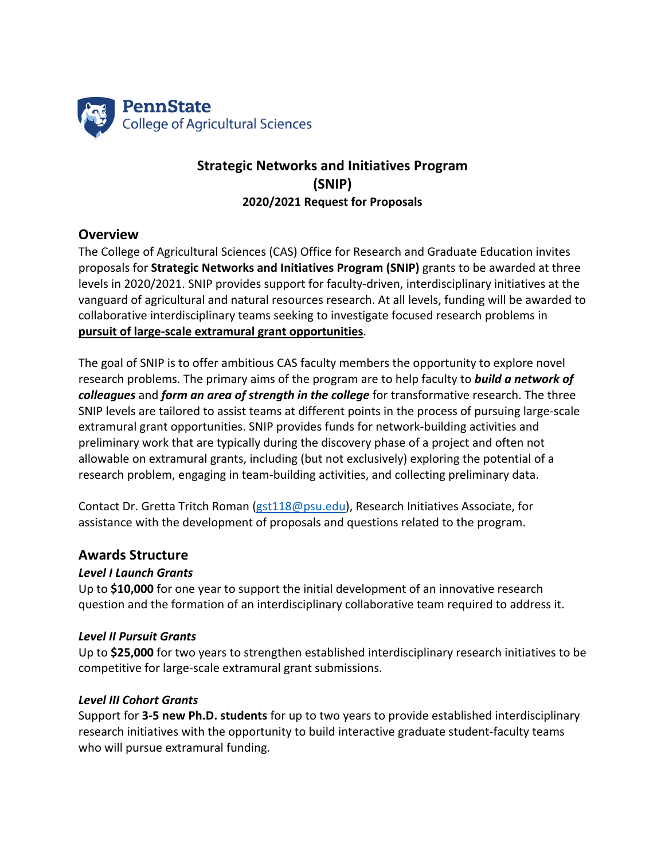

# **Strategic Networks and Initiatives Program (SNIP) 2020/2021 Request for Proposals**

### **Overview**

The College of Agricultural Sciences (CAS) Office for Research and Graduate Education invites proposals for **Strategic Networks and Initiatives Program (SNIP)** grants to be awarded at three levels in 2020/2021. SNIP provides support for faculty-driven, interdisciplinary initiatives at the vanguard of agricultural and natural resources research. At all levels, funding will be awarded to collaborative interdisciplinary teams seeking to investigate focused research problems in **pursuit of large-scale extramural grant opportunities**.

The goal of SNIP is to offer ambitious CAS faculty members the opportunity to explore novel research problems. The primary aims of the program are to help faculty to *build a network of colleagues* and *form an area of strength in the college* for transformative research. The three SNIP levels are tailored to assist teams at different points in the process of pursuing large-scale extramural grant opportunities. SNIP provides funds for network-building activities and preliminary work that are typically during the discovery phase of a project and often not allowable on extramural grants, including (but not exclusively) exploring the potential of a research problem, engaging in team-building activities, and collecting preliminary data.

Contact Dr. Gretta Tritch Roman (gst118@psu.edu), Research Initiatives Associate, for assistance with the development of proposals and questions related to the program.

#### **Awards Structure**

#### *Level I Launch Grants*

Up to **\$10,000** for one year to support the initial development of an innovative research question and the formation of an interdisciplinary collaborative team required to address it.

#### *Level II Pursuit Grants*

Up to **\$25,000** for two years to strengthen established interdisciplinary research initiatives to be competitive for large-scale extramural grant submissions.

#### *Level III Cohort Grants*

Support for **3-5 new Ph.D. students** for up to two years to provide established interdisciplinary research initiatives with the opportunity to build interactive graduate student-faculty teams who will pursue extramural funding.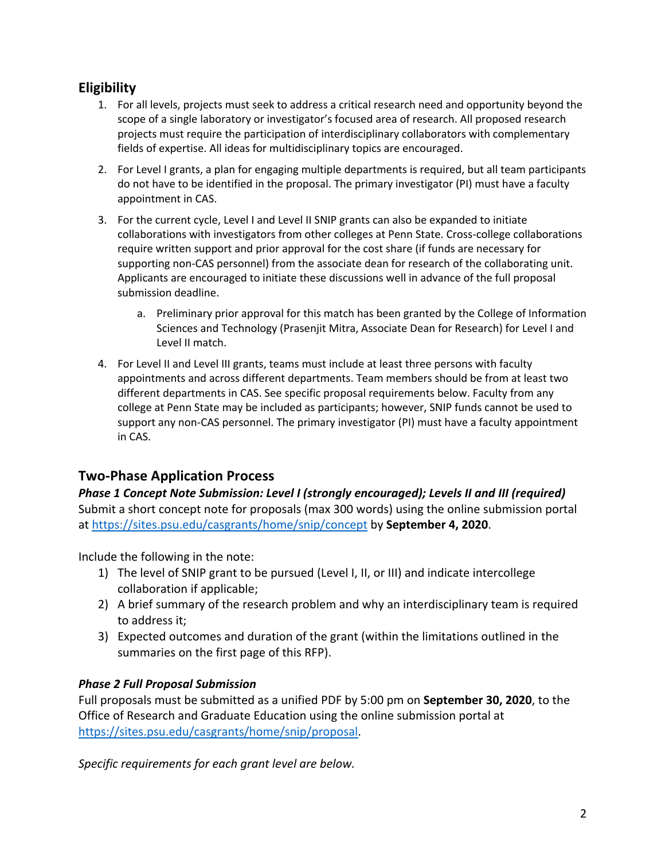# **Eligibility**

- 1. For all levels, projects must seek to address a critical research need and opportunity beyond the scope of a single laboratory or investigator's focused area of research. All proposed research projects must require the participation of interdisciplinary collaborators with complementary fields of expertise. All ideas for multidisciplinary topics are encouraged.
- 2. For Level I grants, a plan for engaging multiple departments is required, but all team participants do not have to be identified in the proposal. The primary investigator (PI) must have a faculty appointment in CAS.
- 3. For the current cycle, Level I and Level II SNIP grants can also be expanded to initiate collaborations with investigators from other colleges at Penn State. Cross-college collaborations require written support and prior approval for the cost share (if funds are necessary for supporting non-CAS personnel) from the associate dean for research of the collaborating unit. Applicants are encouraged to initiate these discussions well in advance of the full proposal submission deadline.
	- a. Preliminary prior approval for this match has been granted by the College of Information Sciences and Technology (Prasenjit Mitra, Associate Dean for Research) for Level I and Level II match.
- 4. For Level II and Level III grants, teams must include at least three persons with faculty appointments and across different departments. Team members should be from at least two different departments in CAS. See specific proposal requirements below. Faculty from any college at Penn State may be included as participants; however, SNIP funds cannot be used to support any non-CAS personnel. The primary investigator (PI) must have a faculty appointment in CAS.

# **Two-Phase Application Process**

*Phase 1 Concept Note Submission: Level I (strongly encouraged); Levels II and III (required)* Submit a short concept note for proposals (max 300 words) using the online submission portal at https://sites.psu.edu/casgrants/home/snip/concept by **September 4, 2020**.

Include the following in the note:

- 1) The level of SNIP grant to be pursued (Level I, II, or III) and indicate intercollege collaboration if applicable;
- 2) A brief summary of the research problem and why an interdisciplinary team is required to address it;
- 3) Expected outcomes and duration of the grant (within the limitations outlined in the summaries on the first page of this RFP).

#### *Phase 2 Full Proposal Submission*

Full proposals must be submitted as a unified PDF by 5:00 pm on **September 30, 2020**, to the Office of Research and Graduate Education using the online submission portal at https://sites.psu.edu/casgrants/home/snip/proposal.

*Specific requirements for each grant level are below.*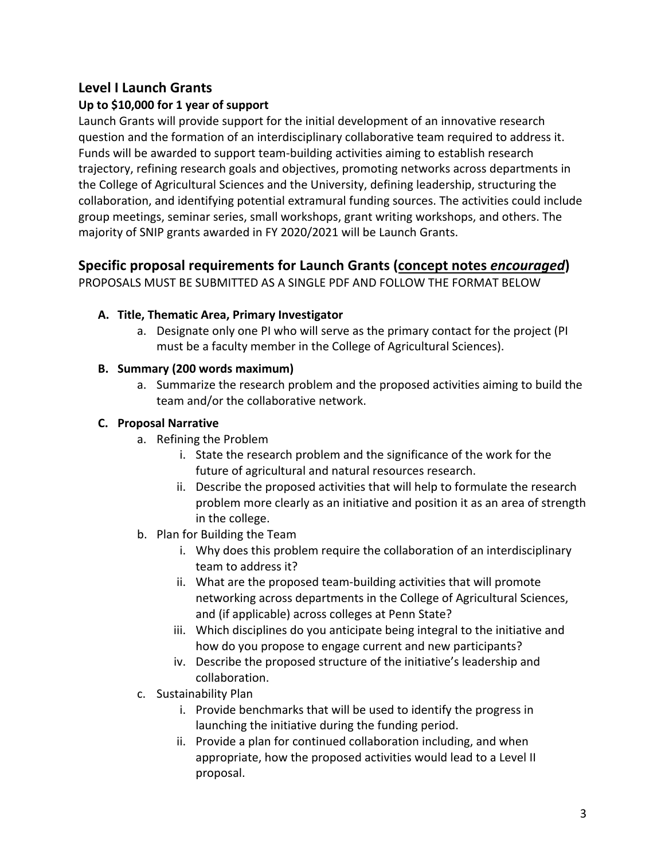# **Level I Launch Grants**

## **Up to \$10,000 for 1 year of support**

Launch Grants will provide support for the initial development of an innovative research question and the formation of an interdisciplinary collaborative team required to address it. Funds will be awarded to support team-building activities aiming to establish research trajectory, refining research goals and objectives, promoting networks across departments in the College of Agricultural Sciences and the University, defining leadership, structuring the collaboration, and identifying potential extramural funding sources. The activities could include group meetings, seminar series, small workshops, grant writing workshops, and others. The majority of SNIP grants awarded in FY 2020/2021 will be Launch Grants.

# **Specific proposal requirements for Launch Grants (concept notes** *encouraged***)**

PROPOSALS MUST BE SUBMITTED AS A SINGLE PDF AND FOLLOW THE FORMAT BELOW

### **A. Title, Thematic Area, Primary Investigator**

a. Designate only one PI who will serve as the primary contact for the project (PI must be a faculty member in the College of Agricultural Sciences).

## **B. Summary (200 words maximum)**

a. Summarize the research problem and the proposed activities aiming to build the team and/or the collaborative network.

### **C. Proposal Narrative**

- a. Refining the Problem
	- i. State the research problem and the significance of the work for the future of agricultural and natural resources research.
	- ii. Describe the proposed activities that will help to formulate the research problem more clearly as an initiative and position it as an area of strength in the college.
- b. Plan for Building the Team
	- i. Why does this problem require the collaboration of an interdisciplinary team to address it?
	- ii. What are the proposed team-building activities that will promote networking across departments in the College of Agricultural Sciences, and (if applicable) across colleges at Penn State?
	- iii. Which disciplines do you anticipate being integral to the initiative and how do you propose to engage current and new participants?
	- iv. Describe the proposed structure of the initiative's leadership and collaboration.
- c. Sustainability Plan
	- i. Provide benchmarks that will be used to identify the progress in launching the initiative during the funding period.
	- ii. Provide a plan for continued collaboration including, and when appropriate, how the proposed activities would lead to a Level II proposal.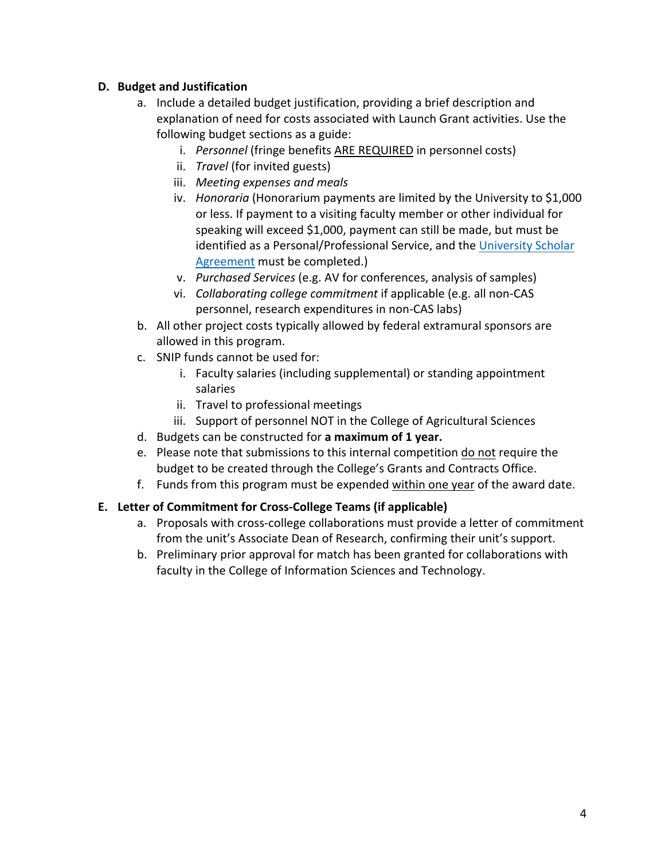### **D. Budget and Justification**

- a. Include a detailed budget justification, providing a brief description and explanation of need for costs associated with Launch Grant activities. Use the following budget sections as a guide:
	- i. *Personnel* (fringe benefits ARE REQUIRED in personnel costs)
	- ii. *Travel* (for invited guests)
	- iii. *Meeting expenses and meals*
	- iv. *Honoraria* (Honorarium payments are limited by the University to \$1,000 or less. If payment to a visiting faculty member or other individual for speaking will exceed \$1,000, payment can still be made, but must be identified as a Personal/Professional Service, and the University Scholar Agreement must be completed.)
	- v. *Purchased Services* (e.g. AV for conferences, analysis of samples)
	- vi. *Collaborating college commitment* if applicable (e.g. all non-CAS personnel, research expenditures in non-CAS labs)
- b. All other project costs typically allowed by federal extramural sponsors are allowed in this program.
- c. SNIP funds cannot be used for:
	- i. Faculty salaries (including supplemental) or standing appointment salaries
	- ii. Travel to professional meetings
	- iii. Support of personnel NOT in the College of Agricultural Sciences
- d. Budgets can be constructed for **a maximum of 1 year.**
- e. Please note that submissions to this internal competition do not require the budget to be created through the College's Grants and Contracts Office.
- f. Funds from this program must be expended within one year of the award date.

#### **E. Letter of Commitment for Cross-College Teams (if applicable)**

- a. Proposals with cross-college collaborations must provide a letter of commitment from the unit's Associate Dean of Research, confirming their unit's support.
- b. Preliminary prior approval for match has been granted for collaborations with faculty in the College of Information Sciences and Technology.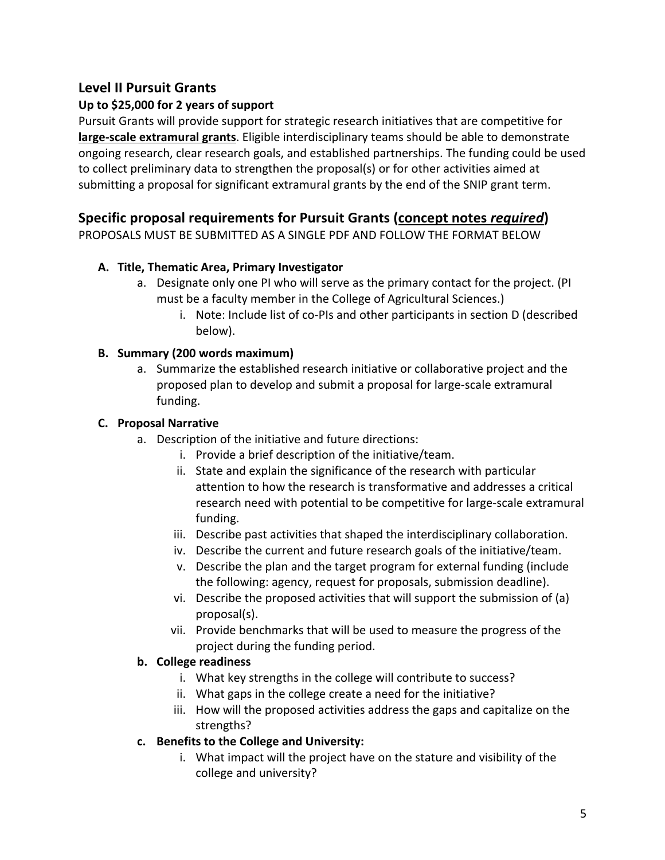# **Level II Pursuit Grants**

## **Up to \$25,000 for 2 years of support**

Pursuit Grants will provide support for strategic research initiatives that are competitive for **large-scale extramural grants**. Eligible interdisciplinary teams should be able to demonstrate ongoing research, clear research goals, and established partnerships. The funding could be used to collect preliminary data to strengthen the proposal(s) or for other activities aimed at submitting a proposal for significant extramural grants by the end of the SNIP grant term.

# **Specific proposal requirements for Pursuit Grants (concept notes** *required***)**

PROPOSALS MUST BE SUBMITTED AS A SINGLE PDF AND FOLLOW THE FORMAT BELOW

## **A. Title, Thematic Area, Primary Investigator**

- a. Designate only one PI who will serve as the primary contact for the project. (PI must be a faculty member in the College of Agricultural Sciences.)
	- i. Note: Include list of co-PIs and other participants in section D (described below).

### **B. Summary (200 words maximum)**

a. Summarize the established research initiative or collaborative project and the proposed plan to develop and submit a proposal for large-scale extramural funding.

### **C. Proposal Narrative**

- a. Description of the initiative and future directions:
	- i. Provide a brief description of the initiative/team.
	- ii. State and explain the significance of the research with particular attention to how the research is transformative and addresses a critical research need with potential to be competitive for large-scale extramural funding.
	- iii. Describe past activities that shaped the interdisciplinary collaboration.
	- iv. Describe the current and future research goals of the initiative/team.
	- v. Describe the plan and the target program for external funding (include the following: agency, request for proposals, submission deadline).
	- vi. Describe the proposed activities that will support the submission of (a) proposal(s).
	- vii. Provide benchmarks that will be used to measure the progress of the project during the funding period.

#### **b. College readiness**

- i. What key strengths in the college will contribute to success?
- ii. What gaps in the college create a need for the initiative?
- iii. How will the proposed activities address the gaps and capitalize on the strengths?

## **c. Benefits to the College and University:**

i. What impact will the project have on the stature and visibility of the college and university?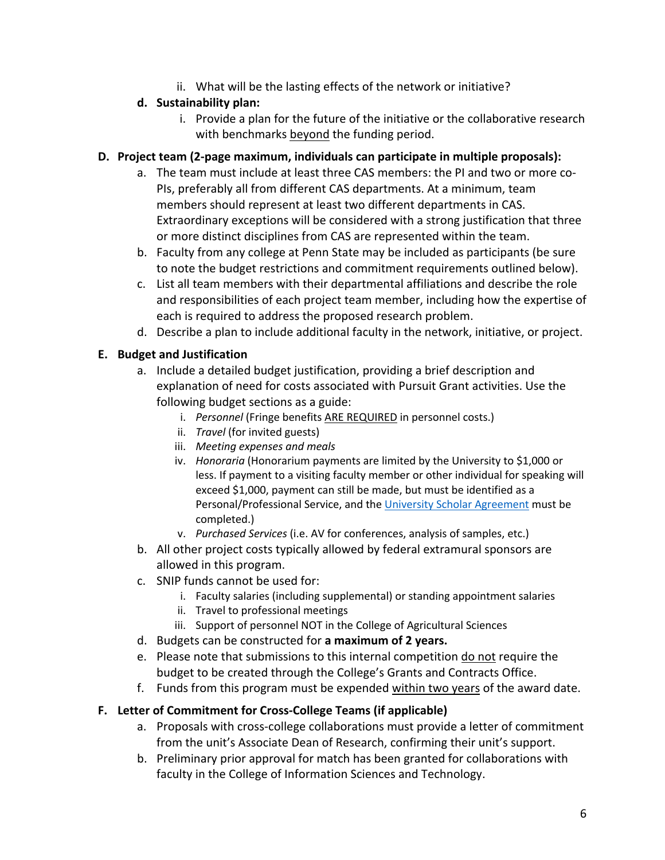ii. What will be the lasting effects of the network or initiative?

## **d. Sustainability plan:**

i. Provide a plan for the future of the initiative or the collaborative research with benchmarks beyond the funding period.

### **D. Project team (2-page maximum, individuals can participate in multiple proposals):**

- a. The team must include at least three CAS members: the PI and two or more co-PIs, preferably all from different CAS departments. At a minimum, team members should represent at least two different departments in CAS. Extraordinary exceptions will be considered with a strong justification that three or more distinct disciplines from CAS are represented within the team.
- b. Faculty from any college at Penn State may be included as participants (be sure to note the budget restrictions and commitment requirements outlined below).
- c. List all team members with their departmental affiliations and describe the role and responsibilities of each project team member, including how the expertise of each is required to address the proposed research problem.
- d. Describe a plan to include additional faculty in the network, initiative, or project.

## **E. Budget and Justification**

- a. Include a detailed budget justification, providing a brief description and explanation of need for costs associated with Pursuit Grant activities. Use the following budget sections as a guide:
	- i. *Personnel* (Fringe benefits ARE REQUIRED in personnel costs.)
	- ii. *Travel* (for invited guests)
	- iii. *Meeting expenses and meals*
	- iv. *Honoraria* (Honorarium payments are limited by the University to \$1,000 or less. If payment to a visiting faculty member or other individual for speaking will exceed \$1,000, payment can still be made, but must be identified as a Personal/Professional Service, and the University Scholar Agreement must be completed.)
	- v. *Purchased Services* (i.e. AV for conferences, analysis of samples, etc.)
- b. All other project costs typically allowed by federal extramural sponsors are allowed in this program.
- c. SNIP funds cannot be used for:
	- i. Faculty salaries (including supplemental) or standing appointment salaries
	- ii. Travel to professional meetings
	- iii. Support of personnel NOT in the College of Agricultural Sciences
- d. Budgets can be constructed for **a maximum of 2 years.**
- e. Please note that submissions to this internal competition do not require the budget to be created through the College's Grants and Contracts Office.
- f. Funds from this program must be expended within two years of the award date.

## **F. Letter of Commitment for Cross-College Teams (if applicable)**

- a. Proposals with cross-college collaborations must provide a letter of commitment from the unit's Associate Dean of Research, confirming their unit's support.
- b. Preliminary prior approval for match has been granted for collaborations with faculty in the College of Information Sciences and Technology.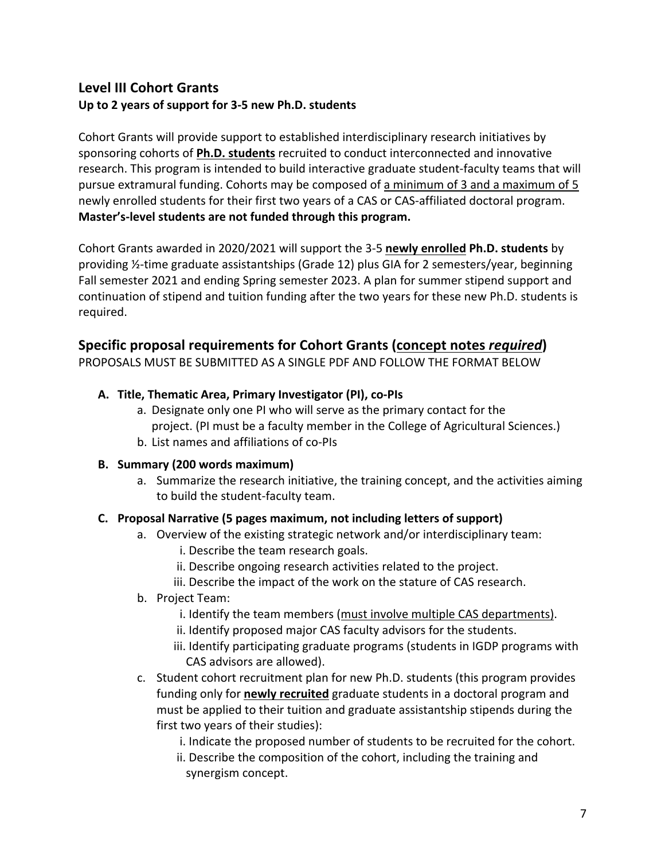# **Level III Cohort Grants Up to 2 years of support for 3-5 new Ph.D. students**

Cohort Grants will provide support to established interdisciplinary research initiatives by sponsoring cohorts of **Ph.D. students** recruited to conduct interconnected and innovative research. This program is intended to build interactive graduate student-faculty teams that will pursue extramural funding. Cohorts may be composed of a minimum of 3 and a maximum of 5 newly enrolled students for their first two years of a CAS or CAS-affiliated doctoral program. **Master's-level students are not funded through this program.**

Cohort Grants awarded in 2020/2021 will support the 3-5 **newly enrolled Ph.D. students** by providing ½-time graduate assistantships (Grade 12) plus GIA for 2 semesters/year, beginning Fall semester 2021 and ending Spring semester 2023. A plan for summer stipend support and continuation of stipend and tuition funding after the two years for these new Ph.D. students is required.

# **Specific proposal requirements for Cohort Grants (concept notes** *required***)**

PROPOSALS MUST BE SUBMITTED AS A SINGLE PDF AND FOLLOW THE FORMAT BELOW

## **A. Title, Thematic Area, Primary Investigator (PI), co-PIs**

- a. Designate only one PI who will serve as the primary contact for the project. (PI must be a faculty member in the College of Agricultural Sciences.)
- b. List names and affiliations of co-PIs

#### **B. Summary (200 words maximum)**

a. Summarize the research initiative, the training concept, and the activities aiming to build the student-faculty team.

## **C. Proposal Narrative (5 pages maximum, not including letters of support)**

- a. Overview of the existing strategic network and/or interdisciplinary team:
	- i. Describe the team research goals.
	- ii. Describe ongoing research activities related to the project.
	- iii. Describe the impact of the work on the stature of CAS research.
- b. Project Team:
	- i. Identify the team members (must involve multiple CAS departments).
	- ii. Identify proposed major CAS faculty advisors for the students.
	- iii. Identify participating graduate programs (students in IGDP programs with CAS advisors are allowed).
- c. Student cohort recruitment plan for new Ph.D. students (this program provides funding only for **newly recruited** graduate students in a doctoral program and must be applied to their tuition and graduate assistantship stipends during the first two years of their studies):
	- i. Indicate the proposed number of students to be recruited for the cohort.
	- ii. Describe the composition of the cohort, including the training and synergism concept.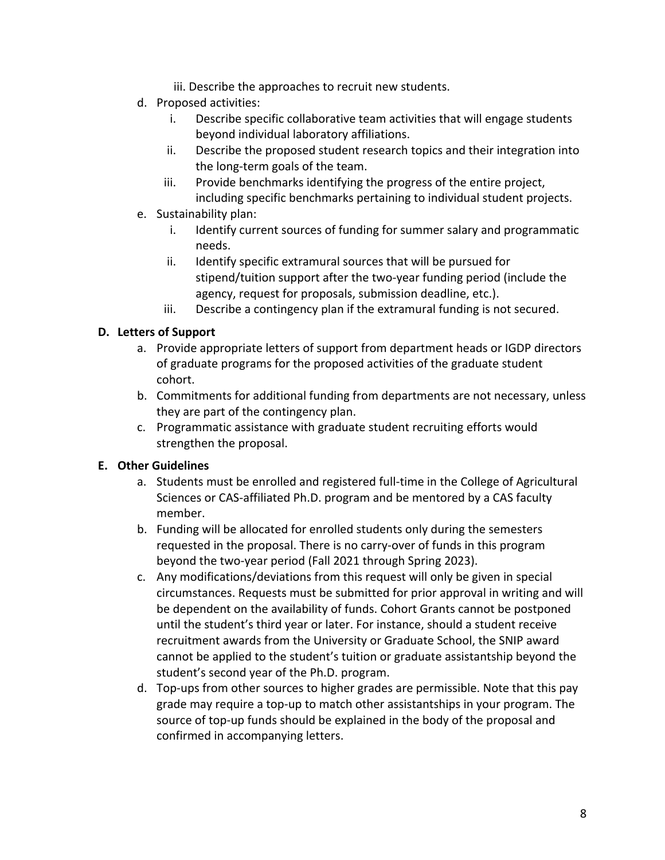- iii. Describe the approaches to recruit new students.
- d. Proposed activities:
	- i. Describe specific collaborative team activities that will engage students beyond individual laboratory affiliations.
	- ii. Describe the proposed student research topics and their integration into the long-term goals of the team.
	- iii. Provide benchmarks identifying the progress of the entire project, including specific benchmarks pertaining to individual student projects.
- e. Sustainability plan:
	- i. Identify current sources of funding for summer salary and programmatic needs.
	- ii. Identify specific extramural sources that will be pursued for stipend/tuition support after the two-year funding period (include the agency, request for proposals, submission deadline, etc.).
	- iii. Describe a contingency plan if the extramural funding is not secured.

## **D. Letters of Support**

- a. Provide appropriate letters of support from department heads or IGDP directors of graduate programs for the proposed activities of the graduate student cohort.
- b. Commitments for additional funding from departments are not necessary, unless they are part of the contingency plan.
- c. Programmatic assistance with graduate student recruiting efforts would strengthen the proposal.

## **E. Other Guidelines**

- a. Students must be enrolled and registered full-time in the College of Agricultural Sciences or CAS-affiliated Ph.D. program and be mentored by a CAS faculty member.
- b. Funding will be allocated for enrolled students only during the semesters requested in the proposal. There is no carry-over of funds in this program beyond the two-year period (Fall 2021 through Spring 2023).
- c. Any modifications/deviations from this request will only be given in special circumstances. Requests must be submitted for prior approval in writing and will be dependent on the availability of funds. Cohort Grants cannot be postponed until the student's third year or later. For instance, should a student receive recruitment awards from the University or Graduate School, the SNIP award cannot be applied to the student's tuition or graduate assistantship beyond the student's second year of the Ph.D. program.
- d. Top-ups from other sources to higher grades are permissible. Note that this pay grade may require a top-up to match other assistantships in your program. The source of top-up funds should be explained in the body of the proposal and confirmed in accompanying letters.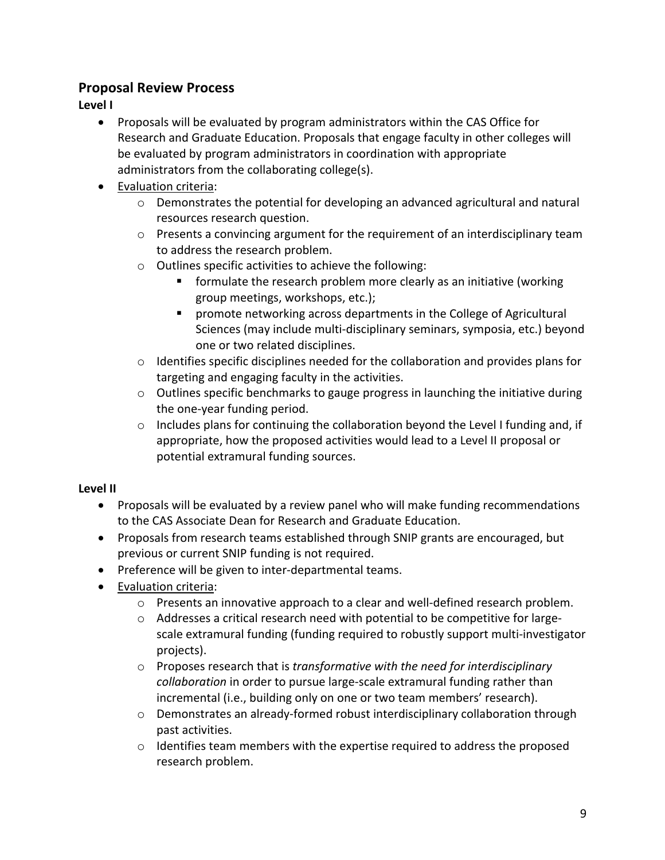## **Proposal Review Process**

**Level I**

- Proposals will be evaluated by program administrators within the CAS Office for Research and Graduate Education. Proposals that engage faculty in other colleges will be evaluated by program administrators in coordination with appropriate administrators from the collaborating college(s).
- Evaluation criteria:
	- $\circ$  Demonstrates the potential for developing an advanced agricultural and natural resources research question.
	- $\circ$  Presents a convincing argument for the requirement of an interdisciplinary team to address the research problem.
	- o Outlines specific activities to achieve the following:
		- formulate the research problem more clearly as an initiative (working group meetings, workshops, etc.);
		- promote networking across departments in the College of Agricultural Sciences (may include multi-disciplinary seminars, symposia, etc.) beyond one or two related disciplines.
	- $\circ$  Identifies specific disciplines needed for the collaboration and provides plans for targeting and engaging faculty in the activities.
	- o Outlines specific benchmarks to gauge progress in launching the initiative during the one-year funding period.
	- $\circ$  Includes plans for continuing the collaboration beyond the Level I funding and, if appropriate, how the proposed activities would lead to a Level II proposal or potential extramural funding sources.

## **Level II**

- Proposals will be evaluated by a review panel who will make funding recommendations to the CAS Associate Dean for Research and Graduate Education.
- Proposals from research teams established through SNIP grants are encouraged, but previous or current SNIP funding is not required.
- Preference will be given to inter-departmental teams.
- Evaluation criteria:
	- o Presents an innovative approach to a clear and well-defined research problem.
	- o Addresses a critical research need with potential to be competitive for largescale extramural funding (funding required to robustly support multi-investigator projects).
	- o Proposes research that is *transformative with the need for interdisciplinary collaboration* in order to pursue large-scale extramural funding rather than incremental (i.e., building only on one or two team members' research).
	- $\circ$  Demonstrates an already-formed robust interdisciplinary collaboration through past activities.
	- o Identifies team members with the expertise required to address the proposed research problem.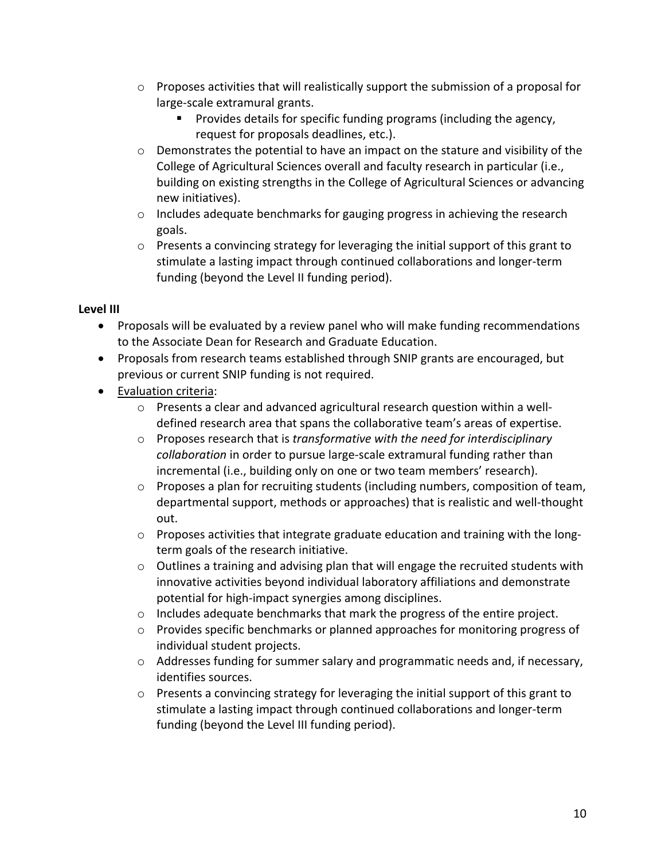- o Proposes activities that will realistically support the submission of a proposal for large-scale extramural grants.
	- Provides details for specific funding programs (including the agency, request for proposals deadlines, etc.).
- $\circ$  Demonstrates the potential to have an impact on the stature and visibility of the College of Agricultural Sciences overall and faculty research in particular (i.e., building on existing strengths in the College of Agricultural Sciences or advancing new initiatives).
- o Includes adequate benchmarks for gauging progress in achieving the research goals.
- $\circ$  Presents a convincing strategy for leveraging the initial support of this grant to stimulate a lasting impact through continued collaborations and longer-term funding (beyond the Level II funding period).

#### **Level III**

- Proposals will be evaluated by a review panel who will make funding recommendations to the Associate Dean for Research and Graduate Education.
- Proposals from research teams established through SNIP grants are encouraged, but previous or current SNIP funding is not required.
- Evaluation criteria:
	- $\circ$  Presents a clear and advanced agricultural research question within a welldefined research area that spans the collaborative team's areas of expertise.
	- o Proposes research that is *transformative with the need for interdisciplinary collaboration* in order to pursue large-scale extramural funding rather than incremental (i.e., building only on one or two team members' research).
	- $\circ$  Proposes a plan for recruiting students (including numbers, composition of team, departmental support, methods or approaches) that is realistic and well-thought out.
	- $\circ$  Proposes activities that integrate graduate education and training with the longterm goals of the research initiative.
	- $\circ$  Outlines a training and advising plan that will engage the recruited students with innovative activities beyond individual laboratory affiliations and demonstrate potential for high-impact synergies among disciplines.
	- o Includes adequate benchmarks that mark the progress of the entire project.
	- o Provides specific benchmarks or planned approaches for monitoring progress of individual student projects.
	- $\circ$  Addresses funding for summer salary and programmatic needs and, if necessary, identifies sources.
	- $\circ$  Presents a convincing strategy for leveraging the initial support of this grant to stimulate a lasting impact through continued collaborations and longer-term funding (beyond the Level III funding period).